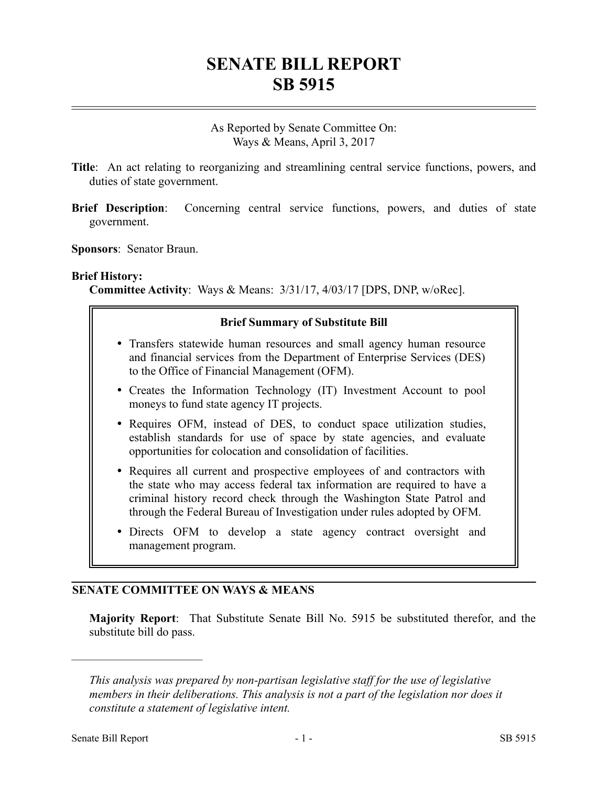# **SENATE BILL REPORT SB 5915**

As Reported by Senate Committee On: Ways & Means, April 3, 2017

- **Title**: An act relating to reorganizing and streamlining central service functions, powers, and duties of state government.
- **Brief Description:** Concerning central service functions, powers, and duties of state government.
- **Sponsors**: Senator Braun.

#### **Brief History:**

**Committee Activity**: Ways & Means: 3/31/17, 4/03/17 [DPS, DNP, w/oRec].

#### **Brief Summary of Substitute Bill**

- Transfers statewide human resources and small agency human resource and financial services from the Department of Enterprise Services (DES) to the Office of Financial Management (OFM).
- Creates the Information Technology (IT) Investment Account to pool moneys to fund state agency IT projects.
- Requires OFM, instead of DES, to conduct space utilization studies, establish standards for use of space by state agencies, and evaluate opportunities for colocation and consolidation of facilities.
- Requires all current and prospective employees of and contractors with the state who may access federal tax information are required to have a criminal history record check through the Washington State Patrol and through the Federal Bureau of Investigation under rules adopted by OFM.
- Directs OFM to develop a state agency contract oversight and management program.

#### **SENATE COMMITTEE ON WAYS & MEANS**

**Majority Report**: That Substitute Senate Bill No. 5915 be substituted therefor, and the substitute bill do pass.

––––––––––––––––––––––

*This analysis was prepared by non-partisan legislative staff for the use of legislative members in their deliberations. This analysis is not a part of the legislation nor does it constitute a statement of legislative intent.*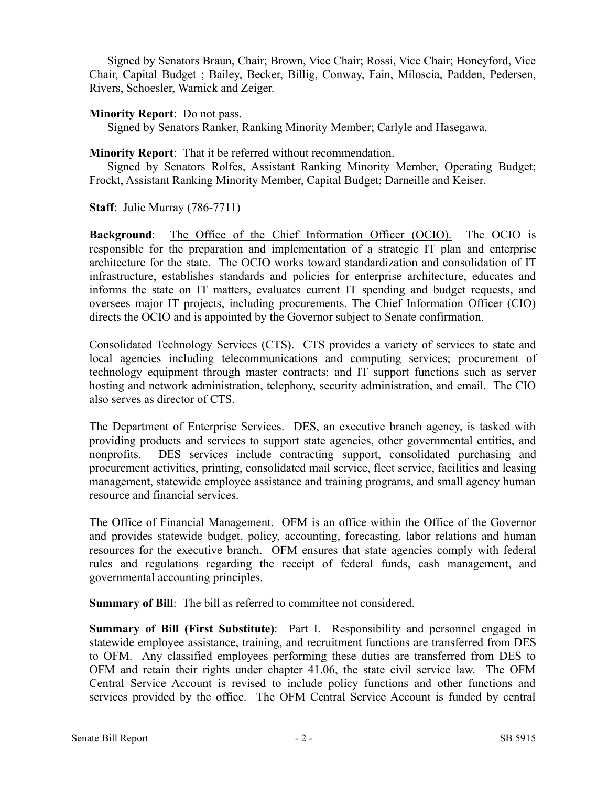Signed by Senators Braun, Chair; Brown, Vice Chair; Rossi, Vice Chair; Honeyford, Vice Chair, Capital Budget ; Bailey, Becker, Billig, Conway, Fain, Miloscia, Padden, Pedersen, Rivers, Schoesler, Warnick and Zeiger.

#### **Minority Report**: Do not pass.

Signed by Senators Ranker, Ranking Minority Member; Carlyle and Hasegawa.

#### **Minority Report**: That it be referred without recommendation.

Signed by Senators Rolfes, Assistant Ranking Minority Member, Operating Budget; Frockt, Assistant Ranking Minority Member, Capital Budget; Darneille and Keiser.

**Staff**: Julie Murray (786-7711)

**Background**: The Office of the Chief Information Officer (OCIO). The OCIO is responsible for the preparation and implementation of a strategic IT plan and enterprise architecture for the state. The OCIO works toward standardization and consolidation of IT infrastructure, establishes standards and policies for enterprise architecture, educates and informs the state on IT matters, evaluates current IT spending and budget requests, and oversees major IT projects, including procurements. The Chief Information Officer (CIO) directs the OCIO and is appointed by the Governor subject to Senate confirmation.

Consolidated Technology Services (CTS). CTS provides a variety of services to state and local agencies including telecommunications and computing services; procurement of technology equipment through master contracts; and IT support functions such as server hosting and network administration, telephony, security administration, and email. The CIO also serves as director of CTS.

The Department of Enterprise Services. DES, an executive branch agency, is tasked with providing products and services to support state agencies, other governmental entities, and nonprofits. DES services include contracting support, consolidated purchasing and procurement activities, printing, consolidated mail service, fleet service, facilities and leasing management, statewide employee assistance and training programs, and small agency human resource and financial services.

The Office of Financial Management. OFM is an office within the Office of the Governor and provides statewide budget, policy, accounting, forecasting, labor relations and human resources for the executive branch. OFM ensures that state agencies comply with federal rules and regulations regarding the receipt of federal funds, cash management, and governmental accounting principles.

**Summary of Bill:** The bill as referred to committee not considered.

**Summary of Bill (First Substitute):** <u>Part I.</u> Responsibility and personnel engaged in statewide employee assistance, training, and recruitment functions are transferred from DES to OFM. Any classified employees performing these duties are transferred from DES to OFM and retain their rights under chapter 41.06, the state civil service law. The OFM Central Service Account is revised to include policy functions and other functions and services provided by the office. The OFM Central Service Account is funded by central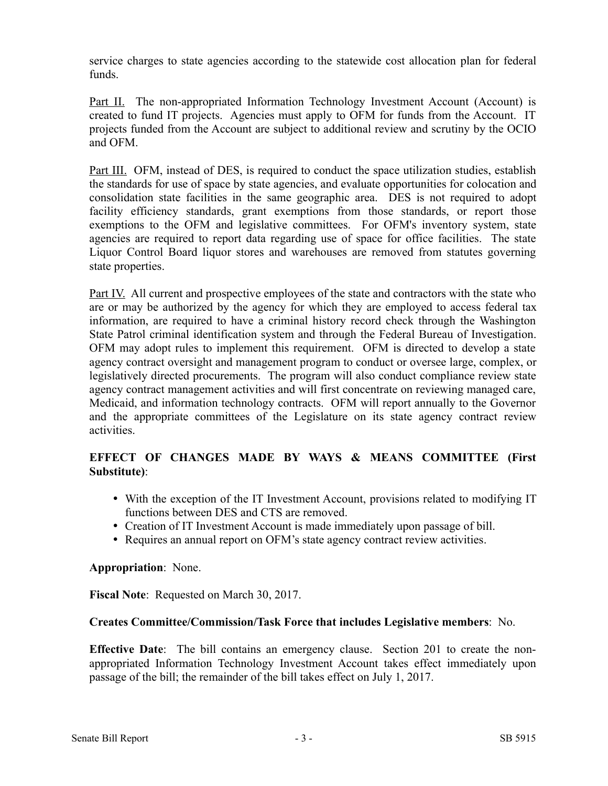service charges to state agencies according to the statewide cost allocation plan for federal funds.

Part II. The non-appropriated Information Technology Investment Account (Account) is created to fund IT projects. Agencies must apply to OFM for funds from the Account. IT projects funded from the Account are subject to additional review and scrutiny by the OCIO and OFM.

Part III. OFM, instead of DES, is required to conduct the space utilization studies, establish the standards for use of space by state agencies, and evaluate opportunities for colocation and consolidation state facilities in the same geographic area. DES is not required to adopt facility efficiency standards, grant exemptions from those standards, or report those exemptions to the OFM and legislative committees. For OFM's inventory system, state agencies are required to report data regarding use of space for office facilities. The state Liquor Control Board liquor stores and warehouses are removed from statutes governing state properties.

Part IV. All current and prospective employees of the state and contractors with the state who are or may be authorized by the agency for which they are employed to access federal tax information, are required to have a criminal history record check through the Washington State Patrol criminal identification system and through the Federal Bureau of Investigation. OFM may adopt rules to implement this requirement. OFM is directed to develop a state agency contract oversight and management program to conduct or oversee large, complex, or legislatively directed procurements. The program will also conduct compliance review state agency contract management activities and will first concentrate on reviewing managed care, Medicaid, and information technology contracts. OFM will report annually to the Governor and the appropriate committees of the Legislature on its state agency contract review activities.

## **EFFECT OF CHANGES MADE BY WAYS & MEANS COMMITTEE (First Substitute)**:

- With the exception of the IT Investment Account, provisions related to modifying IT functions between DES and CTS are removed.
- Creation of IT Investment Account is made immediately upon passage of bill.
- Requires an annual report on OFM's state agency contract review activities.

## **Appropriation**: None.

**Fiscal Note**: Requested on March 30, 2017.

## **Creates Committee/Commission/Task Force that includes Legislative members**: No.

**Effective Date**: The bill contains an emergency clause. Section 201 to create the nonappropriated Information Technology Investment Account takes effect immediately upon passage of the bill; the remainder of the bill takes effect on July 1, 2017.